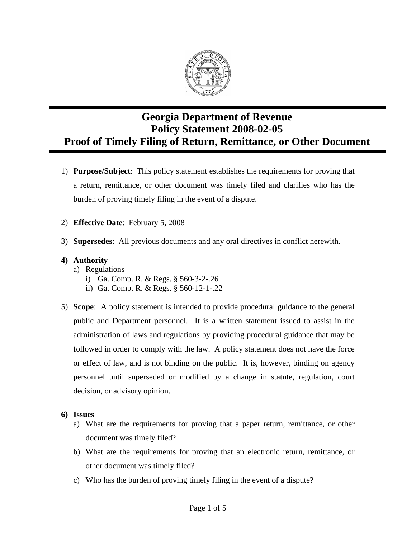

## **Georgia Department of Revenue Policy Statement 2008-02-05 Proof of Timely Filing of Return, Remittance, or Other Document**

- 1) **Purpose/Subject**: This policy statement establishes the requirements for proving that a return, remittance, or other document was timely filed and clarifies who has the burden of proving timely filing in the event of a dispute.
- 2) **Effective Date**: February 5, 2008
- 3) **Supersedes**: All previous documents and any oral directives in conflict herewith.

## **4) Authority**

- a) Regulations
	- i) Ga. Comp. R. & Regs. § 560-3-2-.26
	- ii) Ga. Comp. R. & Regs. § 560-12-1-.22
- 5) **Scope**: A policy statement is intended to provide procedural guidance to the general public and Department personnel. It is a written statement issued to assist in the administration of laws and regulations by providing procedural guidance that may be followed in order to comply with the law. A policy statement does not have the force or effect of law, and is not binding on the public. It is, however, binding on agency personnel until superseded or modified by a change in statute, regulation, court decision, or advisory opinion.
- **6) Issues** 
	- a) What are the requirements for proving that a paper return, remittance, or other document was timely filed?
	- b) What are the requirements for proving that an electronic return, remittance, or other document was timely filed?
	- c) Who has the burden of proving timely filing in the event of a dispute?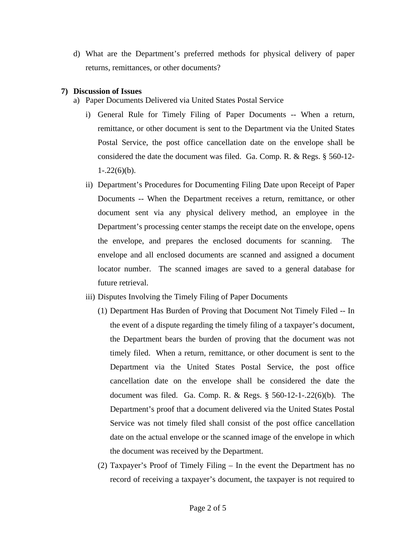d) What are the Department's preferred methods for physical delivery of paper returns, remittances, or other documents?

## **7) Discussion of Issues**

- a) Paper Documents Delivered via United States Postal Service
	- i) General Rule for Timely Filing of Paper Documents -- When a return, remittance, or other document is sent to the Department via the United States Postal Service, the post office cancellation date on the envelope shall be considered the date the document was filed. Ga. Comp. R. & Regs. § 560-12-  $1 - .22(6)(b)$ .
	- ii) Department's Procedures for Documenting Filing Date upon Receipt of Paper Documents -- When the Department receives a return, remittance, or other document sent via any physical delivery method, an employee in the Department's processing center stamps the receipt date on the envelope, opens the envelope, and prepares the enclosed documents for scanning. The envelope and all enclosed documents are scanned and assigned a document locator number. The scanned images are saved to a general database for future retrieval.
	- iii) Disputes Involving the Timely Filing of Paper Documents
		- (1) Department Has Burden of Proving that Document Not Timely Filed -- In the event of a dispute regarding the timely filing of a taxpayer's document, the Department bears the burden of proving that the document was not timely filed. When a return, remittance, or other document is sent to the Department via the United States Postal Service, the post office cancellation date on the envelope shall be considered the date the document was filed. Ga. Comp. R. & Regs. § 560-12-1-.22(6)(b). The Department's proof that a document delivered via the United States Postal Service was not timely filed shall consist of the post office cancellation date on the actual envelope or the scanned image of the envelope in which the document was received by the Department.
		- (2) Taxpayer's Proof of Timely Filing In the event the Department has no record of receiving a taxpayer's document, the taxpayer is not required to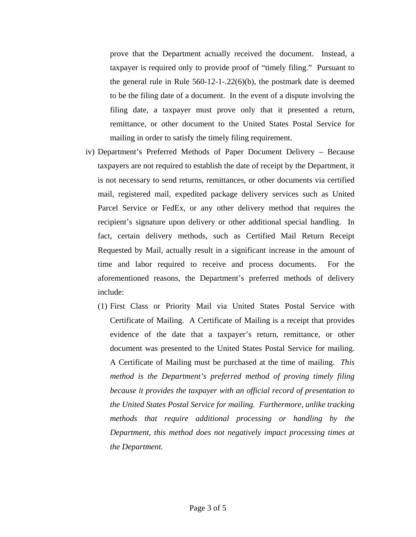prove that the Department actually received the document. Instead, a taxpayer is required only to provide proof of "timely filing." Pursuant to the general rule in Rule  $560-12-1-.22(6)(b)$ , the postmark date is deemed to be the filing date of a document. In the event of a dispute involving the filing date, a taxpayer must prove only that it presented a return, remittance, or other document to the United States Postal Service for mailing in order to satisfy the timely filing requirement.

- iv) Department's Preferred Methods of Paper Document Delivery Because taxpayers are not required to establish the date of receipt by the Department, it is not necessary to send returns, remittances, or other documents via certified mail, registered mail, expedited package delivery services such as United Parcel Service or FedEx, or any other delivery method that requires the recipient's signature upon delivery or other additional special handling. In fact, certain delivery methods, such as Certified Mail Return Receipt Requested by Mail, actually result in a significant increase in the amount of time and labor required to receive and process documents. For the aforementioned reasons, the Department's preferred methods of delivery include:
	- (1) First Class or Priority Mail via United States Postal Service with Certificate of Mailing. A Certificate of Mailing is a receipt that provides evidence of the date that a taxpayer's return, remittance, or other document was presented to the United States Postal Service for mailing. A Certificate of Mailing must be purchased at the time of mailing. *This method is the Department's preferred method of proving timely filing because it provides the taxpayer with an official record of presentation to the United States Postal Service for mailing. Furthermore, unlike tracking methods that require additional processing or handling by the Department, this method does not negatively impact processing times at the Department.*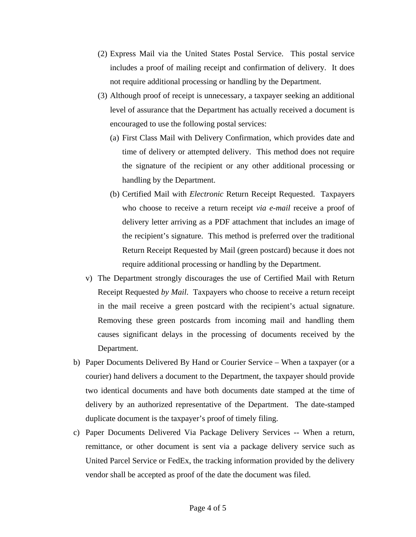- (2) Express Mail via the United States Postal Service. This postal service includes a proof of mailing receipt and confirmation of delivery. It does not require additional processing or handling by the Department.
- (3) Although proof of receipt is unnecessary, a taxpayer seeking an additional level of assurance that the Department has actually received a document is encouraged to use the following postal services:
	- (a) First Class Mail with Delivery Confirmation, which provides date and time of delivery or attempted delivery. This method does not require the signature of the recipient or any other additional processing or handling by the Department.
	- (b) Certified Mail with *Electronic* Return Receipt Requested. Taxpayers who choose to receive a return receipt *via e-mail* receive a proof of delivery letter arriving as a PDF attachment that includes an image of the recipient's signature. This method is preferred over the traditional Return Receipt Requested by Mail (green postcard) because it does not require additional processing or handling by the Department.
- v) The Department strongly discourages the use of Certified Mail with Return Receipt Requested *by Mail*. Taxpayers who choose to receive a return receipt in the mail receive a green postcard with the recipient's actual signature. Removing these green postcards from incoming mail and handling them causes significant delays in the processing of documents received by the Department.
- b) Paper Documents Delivered By Hand or Courier Service When a taxpayer (or a courier) hand delivers a document to the Department, the taxpayer should provide two identical documents and have both documents date stamped at the time of delivery by an authorized representative of the Department. The date-stamped duplicate document is the taxpayer's proof of timely filing.
- c) Paper Documents Delivered Via Package Delivery Services -- When a return, remittance, or other document is sent via a package delivery service such as United Parcel Service or FedEx, the tracking information provided by the delivery vendor shall be accepted as proof of the date the document was filed.